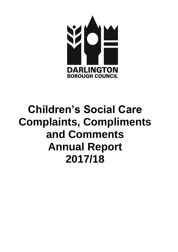

# **Children's Social Care Complaints, Compliments and Comments Annual Report 2017/18**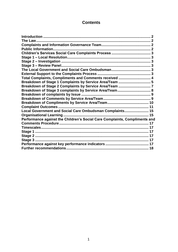# **Contents**

| The Law                                                                    |  |
|----------------------------------------------------------------------------|--|
|                                                                            |  |
|                                                                            |  |
|                                                                            |  |
|                                                                            |  |
|                                                                            |  |
|                                                                            |  |
|                                                                            |  |
|                                                                            |  |
| Total Complaints, Compliments and Comments received  4                     |  |
| Breakdown of Stage 1 Complaints by Service Area/Team  5                    |  |
|                                                                            |  |
| Breakdown of Stage 3 complaints by Service Area/Team 8                     |  |
|                                                                            |  |
|                                                                            |  |
|                                                                            |  |
|                                                                            |  |
| Local Government and Social Care Ombudsman Complaints 15                   |  |
|                                                                            |  |
| Performance against the Children's Social Care Complaints, Compliments and |  |
|                                                                            |  |
| Timescales…………………………………………………………………………………………… 17                           |  |
|                                                                            |  |
|                                                                            |  |
|                                                                            |  |
|                                                                            |  |
|                                                                            |  |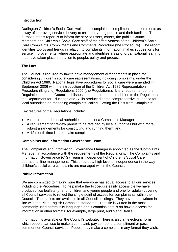# <span id="page-2-0"></span>**Introduction**

Darlington Children's Social Care welcomes complaints, compliments and comments as a way of improving service delivery to children, young people and their families. The purpose of this report is to inform the service users, carers, the public, Council Members and Children's Social Care staff of the effectiveness of the Children's Social Care Complaints, Compliments and Comments Procedure (the Procedure). The report identifies topics and trends in relation to complaints information, makes suggestions for service improvements, where appropriate and identifies areas of organisational learning that have taken place in relation to people, policy and process.

# <span id="page-2-1"></span>**The Law**

The Council is required by law to have management arrangements in place for considering children's social care representations, including complaints, under the Children Act 1989. National legislative procedures for social care were amended in September 2006 with the introduction of the Children Act 1989 Representation Procedure (England) Regulations 2006 (the Regulations). It is a requirement of the Regulations that the Council publishes an annual report. In addition to the Regulations the Department for Education and Skills produced some comprehensive guidance for local authorities on managing complaints, called 'Getting the Best from Complaints'.

Key features of the Regulations include:

- A requirement for local authorities to appoint a Complaints Manager;
- A requirement for review panels to be retained by local authorities but with more robust arrangements for constituting and running them; and
- A 12 month time limit to make complaints.

# <span id="page-2-2"></span>**Complaints and Information Governance Team**

The Complaints and Information Governance Manager is appointed as the 'Complaints Manager' in accordance with the requirements of the Regulations. The Complaints and Information Governance (CIG) Team is independent of Children's Social Care operational line management. This ensures a high level of independence in the way children's social care complaints are managed within the Council.

#### <span id="page-2-3"></span>**Public Information**

We are committed to making sure that everyone has equal access to all our services, including the Procedure. To help make the Procedure easily accessible we have produced two leaflets (one for children and young people and one for adults) covering all Council services to reflect the single point of access for complainants within the Council. The leaflets are available in all Council buildings. They have been written in line with the Plain English Campaign standards. The title is written in the most commonly used community languages and it contains details on how to access the information in other formats, for example, large print, audio and Braille.

Information is available on the Council's website. There is also an electronic form which people can use to make a complaint, pay someone a compliment or pass comment on Council services. People may make a complaint in any format they wish.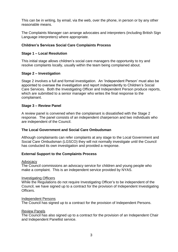This can be in writing, by email, via the web, over the phone, in person or by any other reasonable means.

The Complaints Manager can arrange advocates and interpreters (including British Sign Language interpreters) where appropriate.

# <span id="page-3-0"></span>**Children's Services Social Care Complaints Process**

# <span id="page-3-1"></span>**Stage 1 – Local Resolution**

This initial stage allows children's social care managers the opportunity to try and resolve complaints locally, usually within the team being complained about.

# <span id="page-3-2"></span>**Stage 2 – Investigation**

Stage 2 involves a full and formal investigation. An 'Independent Person' must also be appointed to oversee the investigation and report independently to Children's Social Care Services. Both the Investigating Officer and Independent Person produce reports, which are submitted to a senior manager who writes the final response to the complainant.

## <span id="page-3-3"></span>**Stage 3 – Review Panel**

A review panel is convened when the complainant is dissatisfied with the Stage 2 response. The panel consists of an independent chairperson and two individuals who are independent of the Council.

#### <span id="page-3-4"></span>**The Local Government and Social Care Ombudsman**

Although complainants can refer complaints at any stage to the Local Government and Social Care Ombudsman (LGSCO) they will not normally investigate until the Council has conducted its own investigation and provided a response.

#### <span id="page-3-5"></span>**External Support to the Complaints Process**

#### Advocacy

The Council commissions an advocacy service for children and young people who make a complaint. This is an independent service provided by NYAS.

#### Investigating Officers

While the Regulations do not require Investigating Officer's to be independent of the Council, we have signed up to a contract for the provision of Independent Investigating **Officers** 

#### Independent Persons

The Council has signed up to a contract for the provision of Independent Persons.

#### Review Panels

The Council has also signed up to a contract for the provision of an Independent Chair and Independent Panellist service.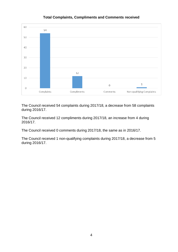<span id="page-4-0"></span>

# **Total Complaints, Compliments and Comments received**

The Council received 54 complaints during 2017/18, a decrease from 58 complaints during 2016/17.

The Council received 12 compliments during 2017/18, an increase from 4 during 2016/17.

The Council received 0 comments during 2017/18, the same as in 2016/17.

The Council received 1 non-qualifying complaints during 2017/18, a decrease from 5 during 2016/17.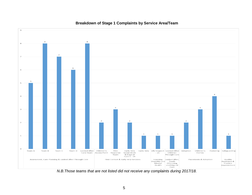<span id="page-5-0"></span>

## **Breakdown of Stage 1 Complaints by Service Area/Team**

*N.B.Those teams that are not listed did not receive any complaints during 2017/18.*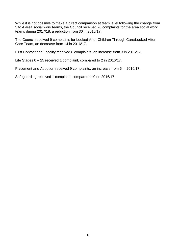While it is not possible to make a direct comparison at team level following the change from 3 to 4 area social work teams, the Council received 26 complaints for the area social work teams during 2017/18, a reduction from 30 in 2016/17.

The Council received 9 complaints for Looked After Children Through Care/Looked After Care Team, an decrease from 14 in 2016/17.

First Contact and Locality received 8 complaints, an increase from 3 in 2016/17.

Life Stages 0 – 25 received 1 complaint, compared to 2 in 2016/17.

Placement and Adoption received 9 complaints, an increase from 6 in 2016/17.

Safeguarding received 1 complaint, compared to 0 on 2016/17.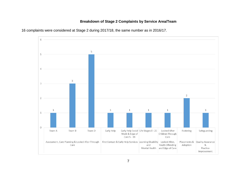# **Breakdown of Stage 2 Complaints by Service Area/Team**



<span id="page-7-0"></span>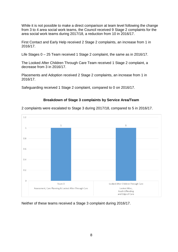While it is not possible to make a direct comparison at team level following the change from 3 to 4 area social work teams, the Council received 9 Stage 2 complaints for the area social work teams during 2017/18, a reduction from 10 in 2016/17.

First Contact and Early Help received 2 Stage 2 complaints, an increase from 1 in 2016/17.

Life Stages 0 – 25 Team received 1 Stage 2 complaint, the same as in 2016/17.

The Looked After Children Through Care Team received 1 Stage 2 complaint, a decrease from 3 in 2016/17.

Placements and Adoption received 2 Stage 2 complaints, an increase from 1 in 2016/17.

Safeguarding received 1 Stage 2 complaint, compared to 0 on 2016/17.

#### **Breakdown of Stage 3 complaints by Service Area/Team**

<span id="page-8-0"></span>2 complaints were escalated to Stage 3 during 2017/18, compared to 5 in 2016/17.



Neither of these teams received a Stage 3 complaint during 2016/17.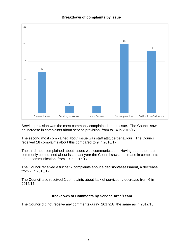<span id="page-9-0"></span>

# **Breakdown of complaints by Issue**

Service provision was the most commonly complained about issue. The Council saw an increase in complaints about service provision, from to 14 in 2016/17.

The second most complained about issue was staff attitude/behaviour. The Council received 18 complaints about this compared to 9 in 2016/17.

The third most complained about issues was communication. Having been the most commonly complained about issue last year the Council saw a decrease in complaints about communication, from 19 in 2016/17.

The Council received a further 2 complaints about a decision/assessment, a decrease from 7 in 2016/17.

The Council also received 2 complaints about lack of services, a decrease from 6 in 2016/17.

#### **Breakdown of Comments by Service Area/Team**

<span id="page-9-1"></span>The Council did not receive any comments during 2017/18, the same as in 2017/18.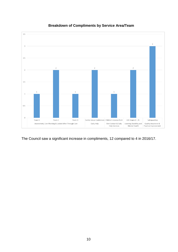<span id="page-10-0"></span>

# **Breakdown of Compliments by Service Area/Team**

The Council saw a significant increase in compliments, 12 compared to 4 in 2016/17.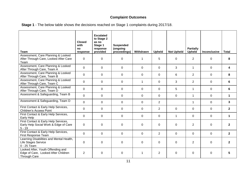# **Complaint Outcomes**

<span id="page-11-0"></span>

| <b>Team</b>                                                                                     | <b>Closed</b><br>with<br>no<br>response | <b>Escalated</b><br>to Stage 2<br>as no<br>Stage 1<br>response<br>provided | <b>Suspended</b><br>(ongoing<br>proceedings) | Withdrawn   | <b>Upheld</b>  | <b>Not Upheld</b> | <b>Partially</b><br><b>Upheld</b> | Inconclusive   | <b>Total</b>   |
|-------------------------------------------------------------------------------------------------|-----------------------------------------|----------------------------------------------------------------------------|----------------------------------------------|-------------|----------------|-------------------|-----------------------------------|----------------|----------------|
| Assessment, Care Planning & Looked<br>After Through Care, Looked After Care<br>Team             | $\mathbf 0$                             | $\mathbf 0$                                                                | $\mathbf 0$                                  | 1           | 5              | $\Omega$          | $\overline{2}$                    | $\Omega$       | 8              |
| Assessment, Care Planning & Looked<br>After Through Care, Team A                                | $\overline{0}$                          | $\mathbf 0$                                                                | $\mathbf 0$                                  | $\mathbf 0$ | $\mathbf 0$    | 3                 | $\mathbf{1}$                      | $\overline{0}$ | 4              |
| Assessment, Care Planning & Looked<br>After Through Care, Team B                                | $\mathbf 0$                             | $\pmb{0}$                                                                  | $\mathbf 0$                                  | $\mathbf 0$ | $\mathbf 0$    | 6                 | $\overline{2}$                    | $\mathbf 0$    | 8              |
| Assessment, Care Planning & Looked<br>After Through Care, Team C                                | $\mathbf 0$                             | $\mathbf 0$                                                                | 0                                            | 1           | $\Omega$       | 3                 | $\overline{2}$                    | $\Omega$       | 6              |
| Assessment, Care Planning & Looked<br>After Through Care, Team D                                | $\mathbf 0$                             | 0                                                                          | $\Omega$                                     | 0           | 0              | 5                 | 1                                 | $\Omega$       | 6              |
| Assessment & Safeguarding, Team B                                                               | 0                                       | 0                                                                          | $\Omega$                                     | 0           | 0              | $\Omega$          | 1                                 | $\Omega$       | 1              |
| Assessment & Safeguarding, Team D                                                               | $\mathbf 0$                             | $\mathbf 0$                                                                | $\mathbf 0$                                  | 0           | $\overline{2}$ |                   | $\mathbf 1$                       | 0              | $\mathbf{3}$   |
| First Contact & Early Help Services,<br><b>Children's Access Point</b>                          | $\overline{0}$                          | $\pmb{0}$                                                                  | $\mathbf 0$                                  | $\mathbf 0$ | $\overline{2}$ | 0                 | 0                                 | 0              | $\mathbf{2}$   |
| First Contact & Early Help Services,<br>Early Help                                              | $\mathbf 0$                             | 0                                                                          | 0                                            | $\mathbf 0$ | 0              | $\mathbf 1$       | $\Omega$                          | 0              | $\mathbf 1$    |
| First Contact & Early Help Services,<br>Early Help Social Work & Edge of Care<br>$5 - 19$       | 0                                       | $\mathbf 0$                                                                | $\mathbf 0$                                  | 0           | $\mathbf 0$    | $\Omega$          | $\overline{2}$                    | $\Omega$       | $\overline{2}$ |
| First Contact & Early Help Services,<br>First Response Team                                     | $\Omega$                                | 0                                                                          | $\mathbf 0$                                  | $\Omega$    | $\overline{2}$ | $\Omega$          | $\Omega$                          | $\Omega$       | $\overline{2}$ |
| Learning Disabilities and Mental Health,<br>Life Stages Service<br>0 - 25 Team                  | $\mathbf 0$                             | 0                                                                          | $\mathbf 0$                                  | 0           | $\mathbf 0$    | $\Omega$          | $\overline{2}$                    | 0              | $\overline{2}$ |
| Looked After, Youth Offending and<br>Edge of Care, Looked After Children<br><b>Through Care</b> | $\overline{2}$                          | $\pmb{0}$                                                                  | $\mathbf 0$                                  | 1           | $\overline{2}$ | 0                 | $\Omega$                          | 0              | 5              |

**Stage 1** - The below table shows the decisions reached on Stage 1 complaints during 2017/18.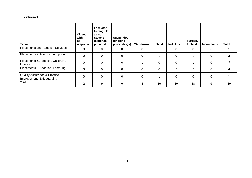# Continued…

| Team                                                                 | <b>Closed</b><br>with<br>no<br>response | <b>Escalated</b><br>to Stage 2<br>as no<br>Stage 1<br>response<br>provided | <b>Suspended</b><br>(ongoing<br>proceedings) | Withdrawn | <b>Upheld</b> | <b>Not Upheld</b> | <b>Partially</b><br><b>Upheld</b> | <b>Inconclusive</b> | <b>Total</b> |
|----------------------------------------------------------------------|-----------------------------------------|----------------------------------------------------------------------------|----------------------------------------------|-----------|---------------|-------------------|-----------------------------------|---------------------|--------------|
| Placements and Adoption Services                                     | 0                                       | 0                                                                          | 0                                            | 0         |               | $\Omega$          | 0                                 | $\Omega$            |              |
| Placements & Adoption, Adoption                                      | $\mathbf 0$                             | 0                                                                          | $\Omega$                                     | $\Omega$  |               | $\Omega$          |                                   | $\Omega$            | 2            |
| Placements & Adoption, Children's<br>Homes                           | 0                                       | 0                                                                          | $\Omega$                                     |           | $\Omega$      | $\Omega$          |                                   | $\Omega$            | 2            |
| Placements & Adoption, Fostering                                     | 0                                       | 0                                                                          | $\Omega$                                     | 0         | 0             | $\overline{2}$    | $\overline{2}$                    | $\Omega$            |              |
| <b>Quality Assurance &amp; Practice</b><br>Improvement, Safeguarding | 0                                       | 0                                                                          | $\Omega$                                     | $\Omega$  |               | $\mathbf{0}$      | $\mathbf 0$                       | $\Omega$            |              |
| <b>Total</b>                                                         | 2                                       | $\bf{0}$                                                                   | $\Omega$                                     | 4         | 16            | 20                | 18                                | $\bf{0}$            | 60           |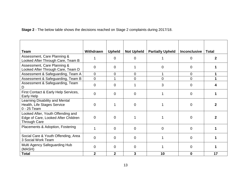**Stage 2** - The below table shows the decisions reached on Stage 2 complaints during 2017/18.

| <b>Team</b>                                                                                     | Withdrawn      | <b>Upheld</b>  | <b>Not Upheld</b> | <b>Partially Upheld</b> | <b>Inconclusive</b> | <b>Total</b> |
|-------------------------------------------------------------------------------------------------|----------------|----------------|-------------------|-------------------------|---------------------|--------------|
| Assessment, Care Planning &<br>Looked After Through Care, Team B                                |                | $\Omega$       | 0                 |                         | 0                   |              |
| Assessment, Care Planning &<br>Looked After Through Care, Team D                                | 0              | 0              |                   | 0                       | 0                   |              |
| Assessment & Safeguarding, Team A                                                               | $\overline{0}$ | $\Omega$       | $\overline{0}$    |                         | $\Omega$            | 1            |
| Assessment & Safeguarding, Team B                                                               | $\overline{0}$ | 1              | $\Omega$          | $\Omega$                | $\Omega$            | 1            |
| Assessment & Safeguarding, Team                                                                 | $\overline{0}$ | $\Omega$       |                   | 3                       | $\overline{0}$      |              |
| First Contact & Early Help Services,<br>Early Help                                              | $\overline{0}$ | $\Omega$       | 0                 |                         | $\Omega$            |              |
| Learning Disability and Mental<br>Health, Life Stages Service<br>0 - 25 Team                    | $\overline{0}$ |                | $\overline{0}$    |                         | $\overline{0}$      |              |
| Looked After, Youth Offending and<br>Edge of Care, Looked After Children<br><b>Through Care</b> | $\overline{0}$ | $\Omega$       |                   |                         | $\Omega$            |              |
| Placements & Adoption, Fostering                                                                |                | $\Omega$       | $\overline{0}$    | $\Omega$                | $\overline{0}$      |              |
| Social Care & Youth Offending, Area<br>3 Social Work Team                                       | $\Omega$       | $\Omega$       | $\Omega$          |                         | $\Omega$            |              |
| Multi Agency Safeguarding Hub<br>(MASH)                                                         | $\Omega$       | $\Omega$       | $\Omega$          |                         | $\Omega$            |              |
| <b>Total</b>                                                                                    | $\overline{2}$ | $\overline{2}$ | 3                 | 10                      | 0                   | 17           |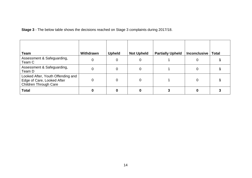**Stage 3** - The below table shows the decisions reached on Stage 3 complaints during 2017/18.

| <b>Team</b>                                                                                     | Withdrawn | <b>Upheld</b> | <b>Not Upheld</b> | <b>Partially Upheld</b> | <b>Inconclusive</b> | <b>Total</b> |
|-------------------------------------------------------------------------------------------------|-----------|---------------|-------------------|-------------------------|---------------------|--------------|
| Assessment & Safeguarding,<br>Team C                                                            |           | 0             |                   |                         | Ω                   |              |
| Assessment & Safeguarding,<br>Team D                                                            |           | 0             |                   |                         |                     |              |
| Looked After, Youth Offending and<br>Edge of Care, Looked After<br><b>Children Through Care</b> |           | 0             |                   |                         | ი                   |              |
| <b>Total</b>                                                                                    |           | 0             |                   |                         |                     |              |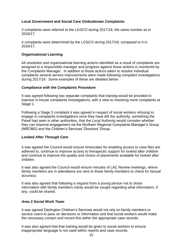# <span id="page-15-0"></span>**Local Government and Social Care Ombudsman Complaints**

3 complaints were referred to the LGSCO during 2017/18, the same number as in 2016/17.

4 complaints were determined by the LGSCO during 2017/18, compared to 0 in 2016/17.

#### <span id="page-15-1"></span>**Organisational Learning**

All resolution and organisational learning actions identified as a result of complaints are assigned to a responsible manager and progress against those actions is monitored by the Complaints Manager. In addition to those actions taken to resolve individual complaints several service improvements were made following complaint investigations during 2017/18. Some examples of these are detailed below.

## *Compliance with the Complaints Procedure*

It was agreed following two separate complaints that training would be provided to improve in-house complaints investigations, with a view to resolving more complaints at Stage 1.

Following a Stage 3 complaint it was agreed in respect of social workers refusing to engage in complaints investigations once they have left the authority, something the Panel had seen in other authorities, that the Local Authority would consider whether they can improve engagement via the Northern Regional Complaints Manager's Group (NRCMG) and the Children's Services' Directors' Group.

#### *Looked After Through Care*

It was agreed the Council would ensure timescales for enabling access to case files are adhered to, continue to improve access to therapeutic support for looked after children and continue to improve the quality and choice of placements available for looked after children.

It was also agreed the Council would ensure minutes of LAC Review meetings, where family members are in attendance are sent to those family members to check for factual accuracy.

It was also agreed that following a request from a young person not to share information with family members clarity would be sought regarding what information, if any, could be shared.

#### *Area 3 Social Work Team*

It was agreed Darlington Children's Services would not rely on family members or service users to pass on decisions or information and that social workers would make the necessary contact and record this within the appropriate case records.

It was also agreed that that training would be given to social workers to ensure inappropriate language is not used within reports and case records.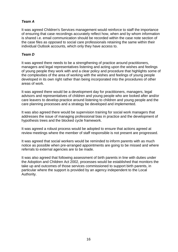# *Team A*

It was agreed Children's Services management would reinforce to staff the importance of ensuring that case recordings accurately reflect how, when and by whom information is shared i.e. email communication should be recorded within the case note section of the case files as opposed to social care professionals retaining the same within their individual Outlook accounts, which only they have access to.

# *Team D*

It was agreed there needs to be a strengthening of practice around practitioners, managers and legal representatives listening and acting upon the wishes and feelings of young people they work with and a clear policy and procedure that highlights some of the complexities of the area of working with the wishes and feelings of young people developed in its own right rather than being incorporated into the procedures of other areas of work.

It was agreed there would be a development day for practitioners, managers, legal advisors and representatives of children and young people who are looked after and/or care leavers to develop practice around listening to children and young people and the care planning processes and a strategy be developed and implemented.

It was also agreed there would be supervision training for social work managers that addresses the issue of managing professional bias in practice and the development of hypothesis trees and the blocked cycle framework.

It was agreed a robust process would be adopted to ensure that actions agreed at review meetings where the member of staff responsible is not present are progressed.

It was agreed that social workers would be reminded to inform parents with as much notice as possible when pre-arranged appointments are going to be missed and where referrals to external agencies are to be made.

It was also agreed that following assessment of birth parents in line with duties under the Adoption and Children Act 2002, processes would be established that monitors the take up and outcomes of those services commissioned to support birth parents, in particular where the support is provided by an agency independent to the Local Authority.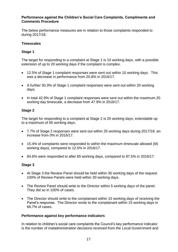#### <span id="page-17-0"></span>**Performance against the Children's Social Care Complaints, Compliments and Comments Procedure**

The below performance measures are in relation to those complaints responded to during 2017/18.

# <span id="page-17-1"></span>**Timescales**

# <span id="page-17-2"></span>**Stage 1**

The target for responding to a complaint at Stage 1 is 10 working days, with a possible extension of up to 20 working days if the complaint is complex.

- 12.5% of Stage 1 complaint responses were sent out within 10 working days. This was a decrease in performance from 20.8% in 2016/17.
- A further 30.3% of Stage 1 complaint responses were sent out within 20 working days.
- In total 42.9% of Stage 1 complaint responses were sent out within the maximum 20 working day timescale, a decrease from 47.9% in 2016/17.

# <span id="page-17-3"></span>**Stage 2**

The target for responding to a complaint at Stage 2 is 25 working days, extendable up to a maximum of 65 working days.

- 7.7% of Stage 2 responses were sent out within 25 working days during 2017/18, an increase from 0% in 2016/17.
- 15.4% of complaints were responded to within the maximum timescale allowed (65 working days), compared to 12.5% in 2016/17.
- 84.6% were responded to after 65 working days, compared to 87.5% in 2016/17.

# <span id="page-17-4"></span>**Stage 3**

- At Stage 3 the Review Panel should be held within 30 working days of the request. 100% of Review Panels were held within 30 working days.
- The Review Panel should write to the Director within 5 working days of the panel. They did so in 100% of cases.
- The Director should write to the complainant within 15 working days of receiving the Panel's response. The Director wrote to the complainant within 15 working days in 66.7% of cases.

# <span id="page-17-5"></span>**Performance against key performance indicators**

In relation to children's social care complaints the Council's key performance indicator is the number of maladministration decisions received from the Local Government and